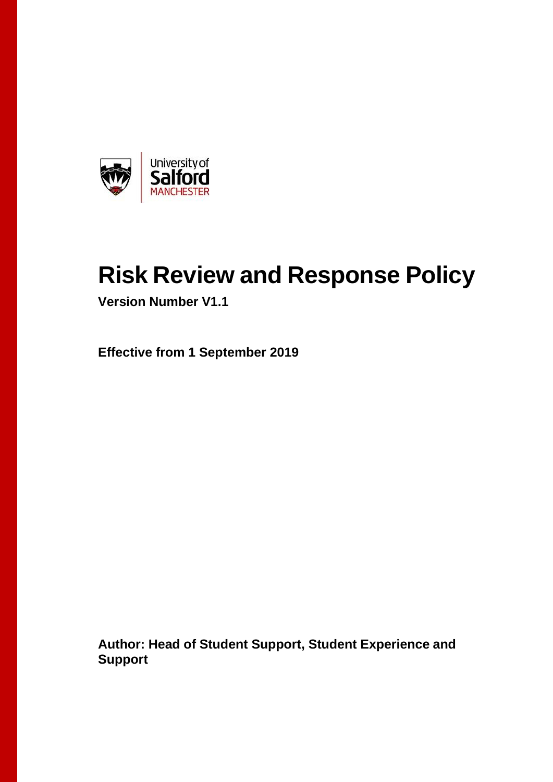

# **Risk Review and Response Policy**

**Version Number V1.1**

**Effective from 1 September 2019**

**Author: Head of Student Support, Student Experience and Support**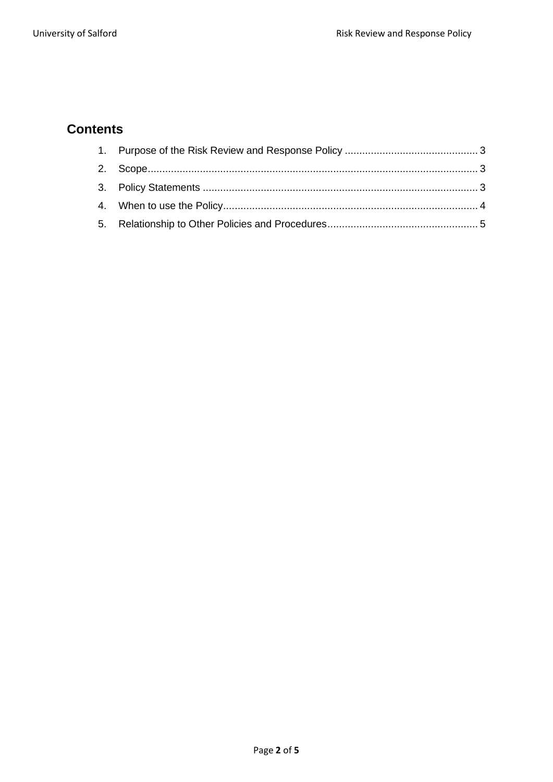# **Contents**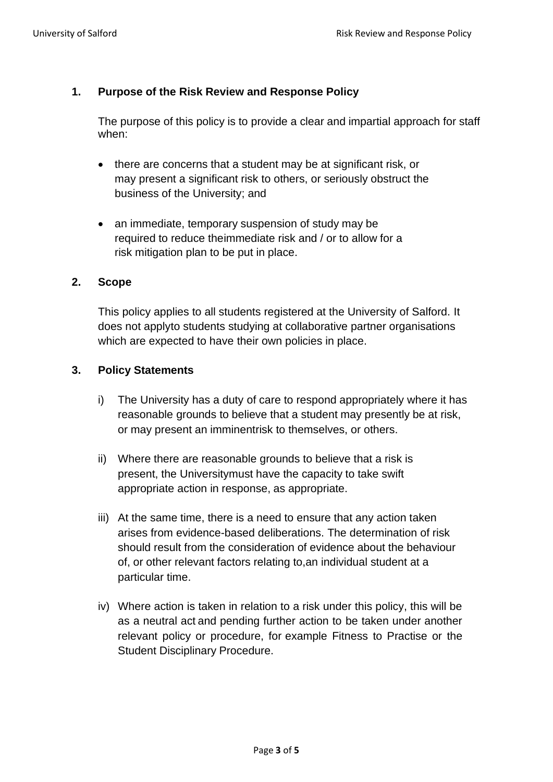### <span id="page-2-0"></span>**1. Purpose of the Risk Review and Response Policy**

The purpose of this policy is to provide a clear and impartial approach for staff when:

- there are concerns that a student may be at significant risk, or may present a significant risk to others, or seriously obstruct the business of the University; and
- an immediate, temporary suspension of study may be required to reduce theimmediate risk and / or to allow for a risk mitigation plan to be put in place.

#### <span id="page-2-1"></span>**2. Scope**

This policy applies to all students registered at the University of Salford. It does not applyto students studying at collaborative partner organisations which are expected to have their own policies in place.

#### <span id="page-2-2"></span>**3. Policy Statements**

- i) The University has a duty of care to respond appropriately where it has reasonable grounds to believe that a student may presently be at risk, or may present an imminentrisk to themselves, or others.
- ii) Where there are reasonable grounds to believe that a risk is present, the Universitymust have the capacity to take swift appropriate action in response, as appropriate.
- iii) At the same time, there is a need to ensure that any action taken arises from evidence-based deliberations. The determination of risk should result from the consideration of evidence about the behaviour of, or other relevant factors relating to,an individual student at a particular time.
- iv) Where action is taken in relation to a risk under this policy, this will be as a neutral act and pending further action to be taken under another relevant policy or procedure, for example Fitness to Practise or the Student Disciplinary Procedure.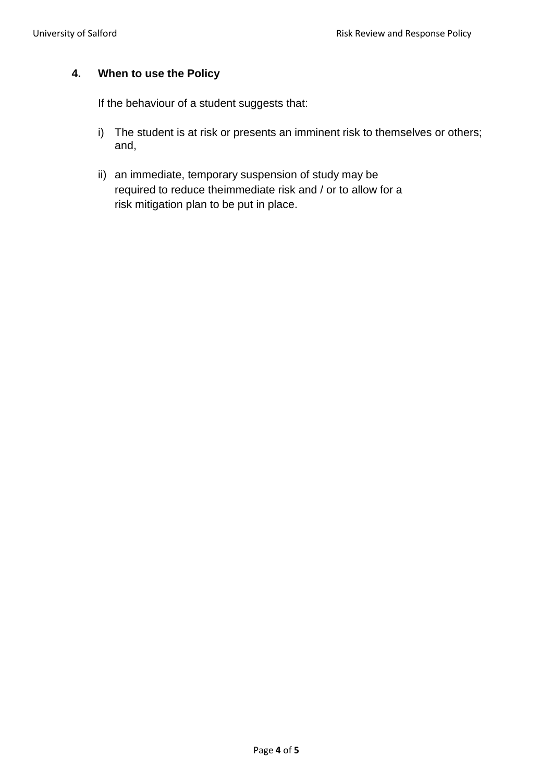# <span id="page-3-0"></span>**4. When to use the Policy**

If the behaviour of a student suggests that:

- i) The student is at risk or presents an imminent risk to themselves or others; and,
- ii) an immediate, temporary suspension of study may be required to reduce theimmediate risk and / or to allow for a risk mitigation plan to be put in place.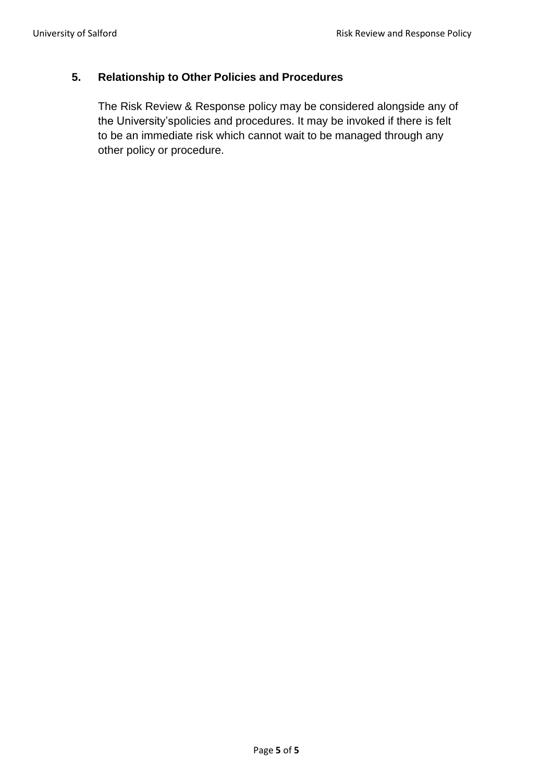## <span id="page-4-0"></span>**5. Relationship to Other Policies and Procedures**

The Risk Review & Response policy may be considered alongside any of the University'spolicies and procedures. It may be invoked if there is felt to be an immediate risk which cannot wait to be managed through any other policy or procedure.